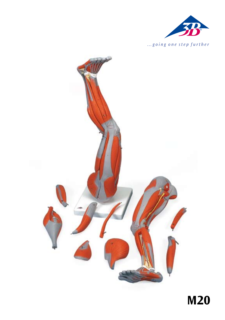

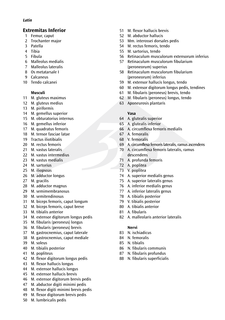### *Latin*

# **Extremitas Inferior**

- 1 Femur, caput
- 2 Trochanter major
- 3 Patella
- 4 Tibia
- 5 Fibula
- 6 Malleolus medialis
- 7 Malleolus lateralis
- 8 Os metatarsale I
- 9 Calcaneus
- 10 Tendo calcanei

# **Musculi**

- 11 M. gluteus maximus
- 12 M. gluteus medius
- 13 M. piriformis
- 14 M. gemellus superior
- 15 M. obturatorius internus
- 16 M gemellus inferior
- 17 M. quadratus femoris
- 18 M. tensor fasciae latae 19 Tractus iliotibialis
- 20 M. rectus femoris
- 21 M. vastus lateralis.
- 22 M. vastus intermedius
- 23 M. vastus medialis
- 24 M. sartorius
- 25 M. iliopsoas
- 26 M. adductor longus
- 27 M. gracilis
- 28 M. adductor magnus
- 29 M. semimembranosus
- 30 M. semitendinosus
- 31 M. biceps femoris, caput longum
- 32 M. biceps femoris, caput breve
- 33 M. tibialis anterior
- 34 M. extensor digitorum longus pedis
- 35 M. fibularis (peroneus) longus
- 36 M. fibularis (peroneus) brevis
- 37 M. gastrocnemius, caput laterale
- 38 M. gastrocnemius, caput mediale
- 39 M. soleus
- 40 M. tibialis posterior
- 41 M. popliteus
- 42 M. flexor digitorum longus pedis
- 43 M. flexor hallucis longus
- 44 M. extensor hallucis longus
- 45 M. extensor hallucis brevis
- 46 M. extensor digitorum brevis pedis
- 47 M. abductor digiti minimi pedis
- 48 M. flexor digiti minimi brevis pedis
- 49 M. flexor digitorum brevis pedis
- 50 M. lumbricalis pedis
- 51 M. flexor hallucis brevis
- 52 M. abductor hallucis
- 53 Mm. interossei dorsales pedis
- 54 M. rectus femoris, tendo
- 55 M. sartorius, tendo
- 56 Retinaculum musculorum extensorum inferius
- 57 Retinaculum musculorum fibularium (peroneorum) superius
- 58 Retinaculum musculorum fibularium (peroneorum) inferius
- 59 M. extensor hallucis longus, tendo
- 60 M. extensor digitorum longus pedis, tendines
- 61 M. fibularis (peroneus) brevis, tendo
- 62 M. fibularis (peroneus) longus, tendo
- 63 Aponeurosis plantaris

# **Vasa**

- 64 A. glutealis superior
- 65 A. glutealis inferior
- 66 A. circumflexa femoris medialis
- 67 A. femoralis
- 68 V. femoralis
- 69 A. circumflexa femorislateralis,ramus ascendens
- 69 A. circumflexa femoris lateralis, ramus asce<br>70 A. circumflexa femoris lateralis, ramus descendens
- 71 A. profunda femoris
- 72 A. poplitea
- 73 V. poplitea
- 74 A. superior medialis genus
- 75 A. superior lateralis genus
- 76 A. inferior medialis genus
- 77 A. inferior lateralis genus
- 78 A. tibialis posterior
- 79 V. tibialis posterior
- 80 A. tibialis anterior
- 81 A. fibularis
- 82 A. malleolaris anterior lateralis

# **Nervi**

- 83 N. ischiadicus
- 84 N. femoralis
- 85 N. tibialis
- 86 N. fibularis communis
- 87 N. fibularis profundus
- 88 N. fibularis superficialis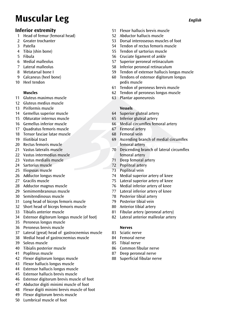# **Muscular Leg** *English*

# **Inferior extremity**

- 1 Head of femur (femoral head)<br>2 Greater trochanter
- Greater trochanter
- 3 Patella
- 4 Tibia (shin bone)
- 5 Fibula
- 6 Medial malleolus<br>7 Lateral malleolus
- 7 Lateral malleolus
- 8 Metatarsal bone I
- 9 Calcaneus (heel bone)
- 10 Heel tendon

# **Muscles**

- 11 Gluteus maximus muscle
- 12 Gluteus medius muscle
- 13 Piriformis muscle
- 14 Gemellus superior muscle
- 15 Obturator internus muscle
- 16 Gemellus inferior muscle
- 17 Quadratus femoris muscle
- 18 Tensor fasciae latae muscle
- 19 Iliotibial tract
- 20 Rectus femoris muscle
- 21 Vastus lateralis muscle
- 22 Vastus intermedius muscle
- 23 Vastus medialis muscle
- 24 Sartorius muscle
- 25 Iliopsoas muscle
- 26 Adductor longus muscle
- 27 Gracilis muscle
- 28 Adductor magnus muscle
- 29 Semimembranosus muscle
- 30 Semitendinosus muscle
- 31 Long head of biceps femoris muscle
- 32 Short head of biceps femoris muscle
- 33 Tibialis anterior muscle
- 34 Extensor digitorum longus muscle (of foot)
- 35 Peroneus longus muscle
- 36 Peroneus brevis muscle
- 37 Lateral (great) head of gastrocnemius muscle
- 38 Medial head of gastrocnemius muscle
- 39 Soleus muscle
- 40 Tibialis posterior muscle
- 41 Popliteus muscle
- 42 Flexor digitorum longus muscle
- 43 Flexor hallucis longus muscle
- 44 Extensor hallucis longus muscle
- 45 Extensor hallucis brevis muscle
- 46 Extensor digitorum brevis muscle of foot
- 47 Abductor digiti minimi muscle of foot
- 48 Flexor digiti minimi brevis muscle of foot
- 49 Flexor digitorum brevis muscle
- 50 Lumbrical muscle of foot
- 51 **Elexor hallucis brevis muscle**
- 52 Abductor hallucis muscle
- 53 Dorsal interosseous muscles of foot<br>54 Tendon of rectus femoris muscle
- Tendon of rectus femoris muscle
- 55 Tendon of sartorius muscle
- 56 Cruciate ligament of ankle
- 57 Superior peroneal retinaculum
- 58 Inferior peroneal retinaculum
- 59 Tendon of extensor hallucis longus muscle
- 60 Tendons of extensor digitorum longus pedis muscle
- 61 Tendon of peroneus brevis muscle
- 62 Tendon of peroneus longus muscle
- 63 Plantar aponeurosis

# **Vessels**

- 64 Superior gluteal artery
- 65 Inferior gluteal artery
- 66 Medial circumflex femoral artery
- 67 Femoral artery
- 68 Femoral vein
- 69 Ascending branch of medial circumflex femoral artery
- **EXECUTE:**<br>The Descending branch of lateral circumflex femoral artery
- 71 Deep femoral artery
- 72 Popliteal artery
- 73 Popliteal vein<br>74 Medial superie
- 74 Medial superior artery of knee<br>75 Lateral superior artery of knee
- Lateral superior artery of knee
- 76 Medial inferior artery of knee
- 77 Lateral inferior artery of knee
- 78 Posterior tibial artery
- 79 Posterior tibial vein
- 80 Anterior tibial artery
- 81 Fibular artery (peroneal artery)
- 82 Lateral anterior malleolar artery

# **Nerves**

- 83 Sciatic nerve
- 84 Femoral nerve
- 85 Tibial nerve
- 86 Common fibular nerve<br>87 Deen neroneal nerve
- Deep peroneal nerve
- 88 Superficial fibular nerve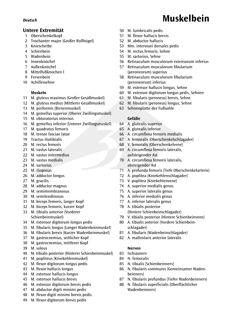# **Untere Extremität**

- 1 Oberschenkelkopf
- 2 Trochanter major (Großer Rollhügel)
- 3 Kniescheibe
- 4 Schienbein
- 5 Wadenbein
- 6 Innenknöchel
- 7 Außenknöchel
- 8 Mittelfußknochen I
- 9 Fersenbein
- 10 Achillessehne

# **Muskeln**

- 11 M. gluteus maximus (Großer Gesäßmuskel)
- 12 M. gluteus medius (Mittlerer Gesäßmuskel)
- 13 M. piriformis (Birnenmuskel)
- 14 M. gemellus superior (Oberer Zwillingsmuskel)
- 15 M. obturatorius internus
- 16 M. gemellus inferior (Unterer Zwillingsmuskel)
- 17 M. quadratus femoris
- 18 M. tensor fasciae latae
- 19 Tractus iliotibialis
- 20 M. rectus femoris
- 21 M. vastus lateralis
- 22 M. vastus intermedius
- 23 M. vastus medialis
- 24 M. sartorius
- 25 M. iliopsoas
- 26 M. adductor longus
- 27 M. gracilis
- 28 M. adductor magnus
- 29 M. semimembranosus
- 30 M. semitendinosus
- 31 M. biceps femoris, langer Kopf
- 32 M. biceps femoris, kurzer Kopf
- 33 M. tibialis anterior (Vorderer Schienbeinmuskel)
- 34 M. extensor digitorum longus pedis
- 35 M. fibularis longus (Langer Wadenbeinmuskel)
- 36 M. fibularis brevis (Kurzer Wadenbeinmuskel)
- 37 M. gastrocnemius, seitlicher Kopf
- 38 M. gastrocnemius, mittlerer Kopf
- 39 M. soleus
- 40 M. tibialis posterior (Hinterer Schienbeinmuskel)
- 41 M. popliteus (Kniekehlenmuskel)
- 42 M. flexor digitorum longus pedis
- 43 M. flexor hallucis longus
- 44 M. extensor hallucis longus
- 45 M. extensor hallucis brevis
- 46 M. extensor digitorum brevis pedis
- 47 M. abductor digiti minimi pedis
- 48 M. flexor digiti minimi brevis pedis
- 49 M. flexor digitorum brevis pedis
- 50 M. lumbricalis pedis
- 51 M. flexor hallucis brevis
- 52 M. abductor hallucis
- 53 Mm. interossei dorsales pedis
- 54 M. rectus femoris, Sehne
- 55 M. sartorius, Sehne
- 56 Retinaculum musculorum extensorum inferius
- 57 Retinaculum musculorum fibularium (peroneorum) superius
- 58 Retinaculum musculorum fibularium (peroneorum) inferius
- 59 M. extensor hallucis longus, Sehne
- 60 M. extensor digitorum longus pedis, Sehnen
- 61 M. fibularis (peroneus) brevis, Sehne
- 62 M. fibularis (peroneus) longus, Sehne
- 63 Sehnenplatte der Fußsohle

### **Gefäße**

- 64 A. glutealis superior
- 65 A. glutealis inferior
- 66 A. circumflexa femoris medialis
- 67 A. femoralis (Oberschenkelschlagader)
- 68 V. femoralis (Oberschenkelvene)
- ® 69 A. circumflexa femoris lateralis, aufsteigender Ast
- 70 A. circumflexa femoris lateralis, absteigender Ast
- 71 A. profunda femoris (Tiefe Oberschenkelarterie)
- 72 A. poplitea (Kniekehlenschlagader)
- 73 V. poplitea (Kniekehlenvene)
- 74 A. superior medialis genus
- 75 A. superior lateralis genus
- 76 A. inferior medialis genus
- 77 A. inferior lateralis genus
- 78 A. tibialis posterior (Hintere Schienbeinschlagader)
- 79 V. tibialis posterior (Hintere Schienbeinvene)
- 80 A. tibialis anterior (Vordere Schienbein- schlagader)
- 81 A. fibularis (Wadenbeinschlagader)
- 82 A. malleolaris anterior lateralis

### **Nerven**

- 83 Ischiasnerv
- 84 N. femoralis
- 85 N. tibialis (Schienbeinnerv)
- 86 N. fibularis communis (Gemeinsamer Wadenbeinnerv)
- 87 N. fibularis profundus (Tiefer Wadenbeinnerv)
- 88 N. fibularis superficialis (Oberflächlicher Wadenbeinnerv)

# *Deutsch* **Muskelbein**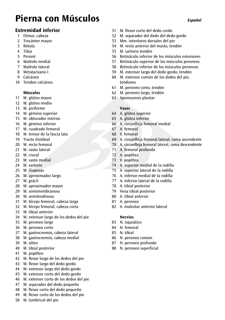# **Pierna con Músculos** *Español*

# **Extremidad inferior**

- 1 Fémur, cabeza
- 2 Trocánter mayor
- 3 Rótula
- 4 Tibia
- 5 Peroné
- 6 Maléolo medial
- 7 Maléolo lateral
- 8 Metatarsiano I
- 9 Calcáneo
- 10 Tendon calcáneo

# **Músculos**

- 11 M. glúteo mayor
- 12 M. glúteo medio
- 13 M. piriforme
- 14 M. gémino superior
- 15 M. obturador interno
- 16 M. gémino inferior
- 17 M. cuadrado femoral
- 18 M. tensor de la fascia lata
- 19 Tracto iliotibial
- 20 M. recto femoral
- 21 M. vasto lateral
- 22 M. crural
- 23 M. vasto medial
- 24 M. sartorio
- 25 M. iliopsoas
- 26 M. aproximador largo
- 27 M. grácil
- 28 M. aproximador mayor
- 29 M. semimembranoso
- 30 M. semitendinoso
- 31 M. bíceps femoral, cabeza larga
- 32 M. bíceps femoral, cabeza corta
- 33 M. tibial anterior
- 34 M. extensor largo de los dedos del pie
- 35 M. peroneo largo
- 36 M. peroneo corto
- 37 M. gastrocnemio, cabeza lateral
- 38 M. gastrocnemio, cabeza medial
- 39 M. sóleo
- 40 M. tibial posterior
- 41 M. poplíteo
- 42 M. flexor largo de los dedos del pie
- 43 M. flexor largo del dedo gordo
- 44 M. extensor largo del dedo gordo
- 45 M. extensor corto del dedo gordo
- 46 M. extensor corto de los dedos del pie
- 47 M. separador del dedo pequeño
- 48 M. flexor corto del dedo pequeño
- 49 M. flexor corto de los dedos del pie
- 50 M. lumbrical del pie
- 51 M. flexor corto del dedo cordo<br>52 M. separador del dedo del ded
- 52 M. separador del dedo del dedo gordo
- 53 Mm. interóseos dorsales del pie
- 54 M. recto anterior del muslo, tendón
- 55 M. sartorio tendón
- 56 Retináculo inferior de los músculos extensores
- 57 Retináculo superior de los músculos peroneos
- 58 Retináculo inferior de los músculos peroneos
- 59 M. extensor largo del dedo gordo, tendón
- 60 M. extensor común de los dedos del pie, tendones
- 61 M. peroneo corto, tendón
- 62 M. peroneo largo, tendón
- 63 Aponeurosis plantar

# **Vasos**

- 64 A. glútea superior
- 65 A. glútea inferior
- 66 A. circunfleja femoral medial
- 67 A. femoral
- 68 V. femoral
- 69 A. circunfleja femoral lateral, rama ascendente
- 70 ∣A. circunfleja femoral lateral, rama descendente<br>71 ∣A. femoral profunda
- 71 A. femoral profunda
- 72 A. poplítea
- 73 V. poplítea
- 74 A. superior medial de la rodilla
- 75 A. superior lateral de la rodilla
- 76 A. inferior medial de la rodilla
- 77 A. inferior lateral de la rodilla
- 78 A. tibial posterior
- 79 Vena tibial posterior
- 80 A. tibial anterior
- 81 A. peronea
- 82 A. maleolar anterior lateral

### **Nervios**

- 83 N. isquiático
- 84 N. femoral
- 85 N. tibial
- 86 N. peroneo común
- 87 N. peroneo profundo
- 88 N. peroneo superficial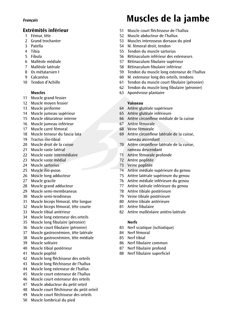# **Extrémités inférieur**

- 1 Fémur, tête
- 2 Grand trochanter
- 3 Patella
- 4 Tibia
- 5 Fibula
- 6 Malléole médiale
- 7 Malléole latérale
- 8 Os métatarsien I
- 9 Calcanéus
- 10 Tendon d'Achille

# **Muscles**

- 11 Muscle grand fessier
- 12 Muscle moven fessier
- 13 Muscle piriforme
- 14 Muscle jumeau supérieur
- 15 Muscle obturateur interne
- 16 Muscle jumeau inférieur
- 17 Muscle carré fémoral
- 18 Muscle tenseur du fascia lata
- 19 Tractus ilio-tibial
- 20 Muscle droit de la cuisse
- 21 Muscle vaste latéral
- 22 Muscle vaste intermédiaire
- 23 Muscle vaste médial
- 24 Muscle sartorius
- 25 Muscle ilio-psoas
- 26 Muscle long adducteur
- 27 Muscle gracile
- 28 Muscle grand adducteur
- 29 Muscle semi-membraneux
- 30 Muscle semi-tendineux
- 31 Muscle biceps fémoral, tête longue
- 32 Muscle biceps fémoral, tête courte
- 33 Muscle tibial antérieur
- 34 Muscle long extenseur des orteils
- 35 Muscle long fibulaire (péronier)
- 36 Muscle court fibulaire (péronier)
- 37 Muscle gastrocnémien, tête latérale
- 38 Muscle gastrocnémien, tête médiale
- 39 Muscle soléaire
- 40 Muscle tibial postérieur
- 41 Muscle poplité
- 42 Muscle long fléchisseur des orteils
- 43 Muscle long fléchisseur de l'hallux
- 44 Muscle long extenseur de l'hallux
- 45 Muscle court extenseur de l'hallux
- 46 Muscle court extenseur des orteils
- 47 Muscle abducteur du petit orteil
- 48 Muscle court fléchisseur du petit orteil
- 49 Muscle court fléchisseur des orteils
- 50 Muscle lombrical du pied

# *Français* **Muscles de la jambe**

- 51 Muscle court fléchisseur de l'hallux
- 52 Muscle abducteur de l'hallux
- 53 Muscles interosseux dorsaux du pied
- 54 M. fémoral droit, tendon
- 55 Tendon du muscle sartorius
- 56 Rétinaculum inférieur des extenseurs
- 57 Rétinaculum fibulaire supérieur
- 58 Rétinaculum fibulaire inférieur
- 59 Tendon du muscle long extenseur de l'hallux
- 60 M. extenseur long des orteils, tendons
- 61 Tendon du muscle court fibulaire (péronier)
- 62 Tendon du muscle long fibulaire (péronier)
- 63 Aponévrose plantaire

# **Vaisseau**

- 64 Artère glutéale supérieure
- 65 Artère glutéale inférieure
- 66 Artère circonflexe médiale de la cuisse
- 67 Artère fémorale
- 68 Veine fémorale
- 69 Artère circonflexe latérale de la cuisse, rameau ascendant
- ® 70 Artère circonflexe latérale de la cuisse, rameau descendant
- 71 Artère fémorale profonde
- 72 Artère poplitée
- 73 Veine poplitée
- 74 Artère médiale supérieure du genou
- 75 Artère latérale supérieure du genou
- 76 Artère médiale inférieure du genou
- 77 Artère latérale inférieure du genou
- 78 Artère tibiale postérieure
- 79 Veine tibiale postérieure
- 80 Artère tibiale antérieure
- 81 Artère fibulaire
- 82 Artère malléolaire antéro-latérale

### **Nerfs**

- 83 Nerf sciatique (ischiatique)
- 84 Nerf fémoral
- 85 Nerf tibial
- 86 Nerf fibulaire commun
- 87 Nerf fibulaire profond
- 88 Nerf fibulaire superficiel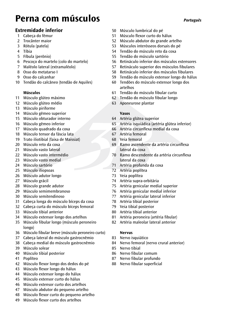# **Perna com músculos** *Português*

# **Extremidade inferior**

- 1 Cabeça do fêmur
- 2 Trocânter maior
- 3 Rótula (patela)
- 4 Tíbia
- 5 Fíbula (perônio)
- 6 Pescoço do martelo (colo do martelo)
- 7 Maléolo lateral (extramaléolo)
- 8 Osso do metatarso I
- 9 Osso do calcanhar
- 10 Tendão do calcâneo (tendão de Aquiles)

# **Músculos**

- 11 Músculo glúteo máximo
- 12 Músculo glúteo médio
- 13 Músculo piriforme
- 14 Músculo gêmeo superior
- 15 Músculo obturador interno
- 16 Músculo gêmeo inferior
- 17 Músculo quadrado da coxa
- 18 Músculo tensor da fáscia lata
- 19 Trato iliotibial (faixa de Maissiat)
- 20 Músculo reto da coxa
- 21 Músculo vasto lateral
- 22 Músculo vasto intermédio
- 23 Músculo vasto medial
- 24 Músculo sartório
- 25 Músculo iliopsoas
- 26 Músculo adutor longo
- 27 Músculo grácil
- 28 Músculo grande adutor
- 29 Músculo semimembranoso
- 30 Músculo semitendinoso
- 31 Cabeça longa do músculo bíceps da coxa
- 32 Cabeça curta do músculo bíceps femoral
- 33 Músculo tibial anterior
- 34 Músculo extensor longo dos artelhos
- 35 Músculo fibular longo (músculo peroneiro longo)
- 36 Músculo fibular breve (músculo peroneiro curto)
- 37 Cabeça lateral do músculo gastrocnêmio
- 38 Cabeça medial do músculo gastrocnêmio
- 39 Músculo solear
- 40 Músculo tibial posterior
- 41 Poplíteo
- 42 Músculo flexor longo dos dedos do pé
- 43 Músculo flexor longo do hálux
- 44 Músculo extensor longo do hálux
- 45 Músculo extensor curto do hálux<br>46 Músculo extensor curto dos artell
- Músculo extensor curto dos artelhos
- 47 Músculo abdutor do pequeno artelho
- 48 Músculo flexor curto do pequeno artelho
- 49 Músculo flexor curto dos artelhos
- 50 Músculo lumbrical do pé
- 51 Músculo flexor curto do hálux
- 52 Músculo abdutor do grande artelho
- 53 Músculos interósseos dorsais do pé
- 54 Tendão do músculo reto da coxa
- 55 Tendão do músculo sartório
- 56 Retináculo inferior dos músculos extensores
- 57 Retináculo superior dos músculos fibulares
- 58 Retináculo inferior dos músculos fibulares
- 59 Tendão do músculo extensor longo do hálux
- 60 Tendões do músculo extensor longo dos artelhos
- 61 Tendão do músculo fibular curto
- 62 Tendão do músculo fibular longo
- 63 Aponeurose plantar

# **Vasos**

- 64 Artéria glútea superior
- 65 Artéria isquiádica (artéria glútea inferior)
- 66 Artéria circunflexa medial da coxa
- 67 Artéria femoral
- 68 Veia femoral
- ® 69 Ramo ascendente da artéria circunflexa lateral da coxa
- 70 Ramo descendente da artéria circunflexa lateral da coxa
- 71 Artéria profunda da coxa
- 72 Artéria poplítea
- 73 Veia poplítea
- 74 Artéria supra-orbitária
- 75 Artéria genicular medial superior
- 76 Artéria genicular medial inferior
- 77 Artéria genicular lateral inferior
- 78 Artéria tibial posterior
- 79 Veia tibial posterior
- 80 Artéria tibial anterior<br>81 Artéria peropeira (arté
- Artéria peroneira (artéria fibular)
- 82 Artéria maleolar lateral anterior

# **Nervus**

- 83 Nervo isquiático
- 84 Nervo femoral (nervo crural anterior)
- 85 Nervo tibial
- 86 Nervo fibular comum
- 87 Nervo fibular profundo
- 88 Nervo fibular superficial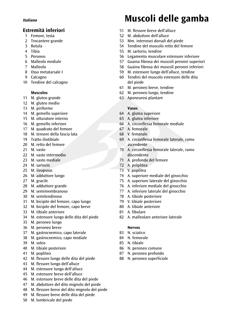# **Estremità inferiori**

- 1 Femore, testa
- 2 Trocantere grande
- 3 Rotula
- 4 Tibia
- 5 Peroneo
- 6 Malleolo mediale
- 7 Malleolo
- 8 Osso metatarsale I
- 9 Calcagno
- 10 Tendine del calcagno

# **Muscolos**

- 11 M. gluteo grande
- 12 M. gluteo medio
- 13 M. piriforme
- 14 M. gemello superiore
- 15 M. otturatore interno
- 16 M. gemello inferiore
- 17 M. quadrato del femore
- 18 M. tensore della fascia lata
- 19 Tratto iliotibiale
- 20 M. retto del femore
- 21 M. vasto
- 22 M. vasto intermedio
- 23 M. vasto mediale
- 24 M. sartorio
- 25 M. ileopsoas
- 26 M. adduttore lungo
- 27 M. gracile
- 28 M. adduttore grande
- 29 M. semimembranoso
- 30 M. semitendinoso
- 31 M. bicipite del femore, capo lungo
- 32 M. bicipite del femore, capo breve
- 33 M. tibiale anteriore
- 34 M. estensore lungo delle dita del piede
- 35 M. peroneo lungo
- 36 M. peroneo breve
- 37 M. gastrocnemico, capo laterale
- 38 M. gastrocnemico, capo mediale
- 39 M. soleo
- 40 M. tibiale posteriore
- 41 M. popliteo
- 42 M. flessore lungo delle dita del piede
- 43 M. flessore lungo dell'alluce
- 44 M. estensore lungo dell'alluce
- 45 M. estensore breve dell'alluce
- 46 M. estensore breve delle dita del piede
- 47 M. abduttore del dito mignolo del piede
- 48 M. flessore breve del dito mignolo del piede
- 49 M. flessore breve delle dita del piede
- 50 M. lombricale del piede

# *English Italiano* **Muscoli delle gamba**

- 51 M. flessore breve dell'alluce
- 52 M. abduttore dell'alluce
- 53 Mm. interossei dorsali del piede
- 54 Tendine del muscolo retto del femore
- 55 M. sartorio, tendine
- 56 Legamento muscolare estensore inferiore
- 57 Guaina fibrosa dei muscoli peronei superiori
- 58 Guaina fibrosa dei muscoli peronei inferiori
- 59 M. estensore lungo dell'alluce, tendine
- 60 Tendini del muscolo estensore delle dita del piede
- 61 M. peroneo breve, tendine
- 62 M. peroneo lungo, tendine
- 63 Aponeurosi plantare

# **Vasos**

- 64 A. glutea superiore
- 65 A. glutea inferiore
- 66 A. circonflessa femorale mediale
- 67 A. femorale
- 68 V. femorale
- 69 A. circonflessa femorale laterale, ramo ascendente
- ® 70 A. circonflessa femorale laterale, ramo discendente
- 71 A. profonda del femore
- 72 A. polplitea
- 73 V. poplitea
- 74 A. superiore mediale del ginocchio
- 75 A. superiore laterale del ginocchio
- 76 A. inferiore mediale del ginocchio
- 77 A. inferiore laterale del ginocchio
- 78 A. tibiale posteriore
- 79 V. tibiale posteriore
- 80 A. tibiale anteriore
- 81 A. fibulare
- 82 A. malleolare anteriore laterale

### **Nervos**

- 83 N. sciatico
- 84 N. femorale
- 85 N. tibiale
- 86 N. peroneo comune
- 87 N. peroneo profondo
- 88 N. peroneo superficiale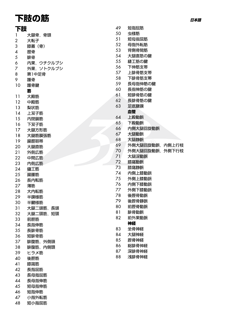# 下肢の筋

| 下肢             |               |
|----------------|---------------|
| 1              | 大腿骨,<br>骨頭    |
| $\overline{c}$ | 大転子           |
| 3              | 膝蓋(骨)         |
| 4              | 脛骨            |
| 5              | 腓骨            |
| 6              | ウチクルブシ<br>内果, |
| 7              | 外果、ソトクルブシ     |
| 8              | 第1中足骨         |
| 9              | 踵骨            |
| 10             | 踵骨腱           |
|                | 筋             |
| 11             | 大殿筋           |
| 12             | 中殿筋           |
| 13             | 梨状筋           |
| 14             | 上双子筋          |
| 15             | 内閉鎖筋          |
| 16             | 下双子筋          |
| 17             | 大腿方形筋         |
| 18             | 大腿筋膜張筋        |
| 19             | 腸脛靭帯          |
| 20             | 大腿直筋          |
| 21             | 外側広筋          |
| 22             | 中間広筋          |
| 23             | 内側広筋          |
| 24             | 縫工筋           |
| 25             | 腸腰筋           |
| 26             | 長内転筋          |
| 27             | 薄筋            |
| 28             | 大内転筋          |
| 29             | 半膜様筋          |
| 30             | 半腱様筋          |
| 31             | 大腿二頭筋,長頭      |
| 32             | 大腿二頭筋,短頭      |
| 33             | 前脛筋           |
| 34             | 長指伸筋          |
| 35             | 長腓骨筋          |
| 36             | 短腓骨筋          |
| 37             | 腓腹筋,外側頭       |
| 38             | 腓腹筋,内側頭       |
| 39             | ヒラメ筋          |
| 40             | 後脛筋           |
| 41             | 膝窩筋           |
| 42             | 長指屈筋          |
| 43             | 長母指屈筋         |
| 44             | 長母指伸筋         |
| 45             | 短母指伸筋         |
| 46             | 短指伸筋          |

47

48

小指外転筋

短小指屈筋

| 49 | 短指屈筋           |       |
|----|----------------|-------|
| 50 | 虫様筋            |       |
| 51 | 短母指屈筋          |       |
| 52 | 母指外転筋          |       |
| 53 | 背側骨間筋          |       |
| 54 | 大腿直筋の腱         |       |
| 55 | 縫工筋の腱          |       |
| 56 | 下伸筋支帯          |       |
| 57 | 上腓骨筋支帯         |       |
| 58 | 下腓骨筋支帯         |       |
| 59 | 長母指伸筋の腱        |       |
| 60 | 長指伸筋の腱         |       |
| 61 | 短腓骨筋の腱         |       |
| 62 | 長腓骨筋の腱         |       |
| 63 | 足底腱膜           |       |
|    | 血管             |       |
| 64 | 上殿動脈           |       |
| 65 | 下殿動脈           |       |
| 66 | 内側大腿回旋動脈       |       |
| 67 | 大腿動脈           |       |
| 68 | 大腿静脈           |       |
| 69 | 外側大腿回旋動脈,      | 内側上行枝 |
| 70 | 外側大腿回旋動脈.外側下行枝 |       |
| 71 | 大腿深動脈          |       |
| 72 | 膝窩動脈           |       |
| 73 | 膝窩静脈           |       |
| 74 | 内側上膝動脈         |       |
| 75 | 外側上膝動脈         |       |
| 76 | 内側下膝動脈         |       |
| 77 | 外側下膝動脈         |       |
| 78 | 後脛骨動脈          |       |
| 79 | 後脛骨静脈          |       |
| 80 | 前脛骨動脈          |       |
| 81 | 腓骨動脈           |       |
| 82 | 前外果動脈          |       |
|    | 神経             |       |
| 83 | 坐骨神経           |       |
| 84 | 大腿神経           |       |
| 85 | 脛骨神経           |       |
| 86 | 総腓骨神経          |       |
| 87 | 深腓骨神経          |       |
| 88 |                |       |
|    | 浅腓骨神経          |       |